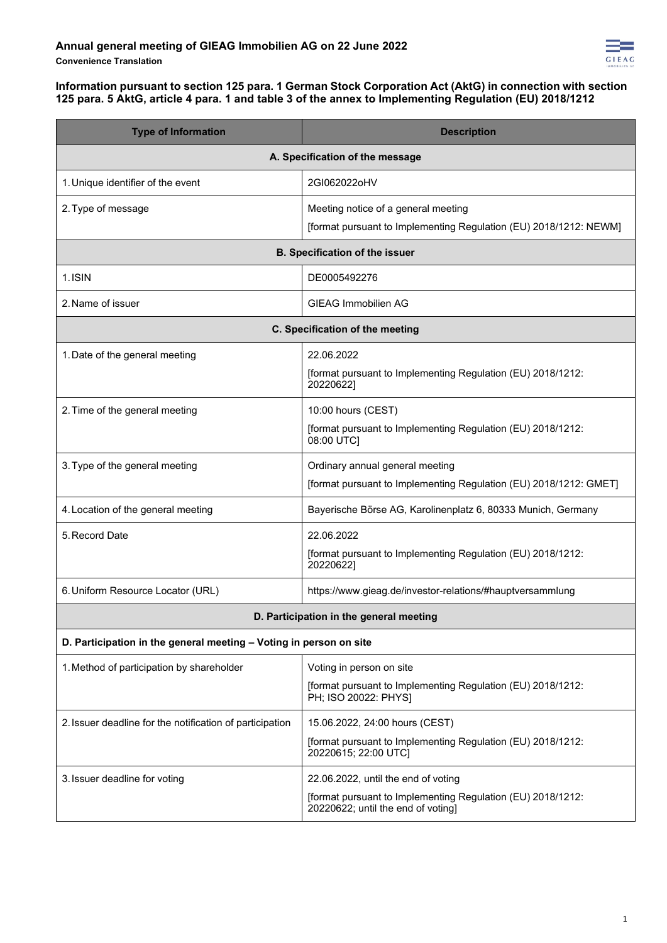

#### **Information pursuant to section 125 para. 1 German Stock Corporation Act (AktG) in connection with section 125 para. 5 AktG, article 4 para. 1 and table 3 of the annex to Implementing Regulation (EU) 2018/1212**

| <b>Type of Information</b>                                         | <b>Description</b>                                                                                |  |
|--------------------------------------------------------------------|---------------------------------------------------------------------------------------------------|--|
| A. Specification of the message                                    |                                                                                                   |  |
| 1. Unique identifier of the event                                  | 2GI062022oHV                                                                                      |  |
| 2. Type of message                                                 | Meeting notice of a general meeting                                                               |  |
|                                                                    | [format pursuant to Implementing Regulation (EU) 2018/1212: NEWM]                                 |  |
| <b>B. Specification of the issuer</b>                              |                                                                                                   |  |
| 1. ISIN                                                            | DE0005492276                                                                                      |  |
| 2. Name of issuer                                                  | <b>GIEAG Immobilien AG</b>                                                                        |  |
| C. Specification of the meeting                                    |                                                                                                   |  |
| 1. Date of the general meeting                                     | 22.06.2022                                                                                        |  |
|                                                                    | [format pursuant to Implementing Regulation (EU) 2018/1212:<br>20220622]                          |  |
| 2. Time of the general meeting                                     | 10:00 hours (CEST)                                                                                |  |
|                                                                    | [format pursuant to Implementing Regulation (EU) 2018/1212:<br>08:00 UTC]                         |  |
| 3. Type of the general meeting                                     | Ordinary annual general meeting                                                                   |  |
|                                                                    | [format pursuant to Implementing Regulation (EU) 2018/1212: GMET]                                 |  |
| 4. Location of the general meeting                                 | Bayerische Börse AG, Karolinenplatz 6, 80333 Munich, Germany                                      |  |
| 5. Record Date                                                     | 22.06.2022                                                                                        |  |
|                                                                    | [format pursuant to Implementing Regulation (EU) 2018/1212:<br>20220622]                          |  |
| 6. Uniform Resource Locator (URL)                                  | https://www.gieag.de/investor-relations/#hauptversammlung                                         |  |
| D. Participation in the general meeting                            |                                                                                                   |  |
| D. Participation in the general meeting - Voting in person on site |                                                                                                   |  |
| 1. Method of participation by shareholder                          | Voting in person on site                                                                          |  |
|                                                                    | [format pursuant to Implementing Regulation (EU) 2018/1212:<br>PH; ISO 20022: PHYS]               |  |
| 2. Issuer deadline for the notification of participation           | 15.06.2022, 24:00 hours (CEST)                                                                    |  |
|                                                                    | [format pursuant to Implementing Regulation (EU) 2018/1212:<br>20220615; 22:00 UTC]               |  |
| 3. Issuer deadline for voting                                      | 22.06.2022, until the end of voting                                                               |  |
|                                                                    | [format pursuant to Implementing Regulation (EU) 2018/1212:<br>20220622; until the end of voting] |  |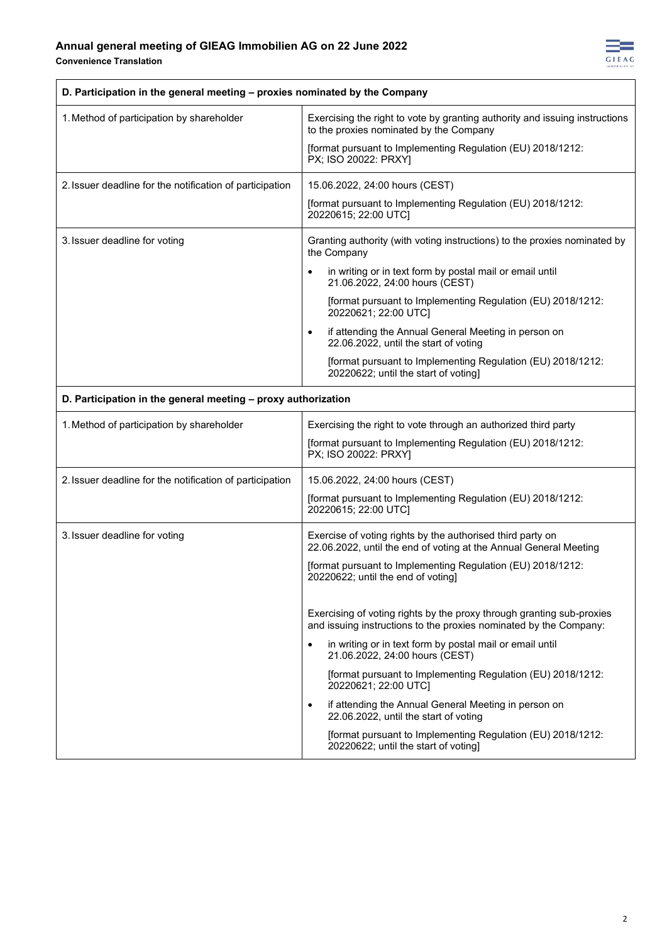**Convenience Translation**

 $\mathbf{r}$ 



| D. Participation in the general meeting - proxies nominated by the Company |                                                                                                                                                                                       |  |
|----------------------------------------------------------------------------|---------------------------------------------------------------------------------------------------------------------------------------------------------------------------------------|--|
| 1. Method of participation by shareholder                                  | Exercising the right to vote by granting authority and issuing instructions<br>to the proxies nominated by the Company<br>[format pursuant to Implementing Regulation (EU) 2018/1212: |  |
|                                                                            | PX; ISO 20022: PRXY]                                                                                                                                                                  |  |
| 2. Issuer deadline for the notification of participation                   | 15.06.2022, 24:00 hours (CEST)                                                                                                                                                        |  |
|                                                                            | [format pursuant to Implementing Regulation (EU) 2018/1212:<br>20220615; 22:00 UTC]                                                                                                   |  |
| 3. Issuer deadline for voting                                              | Granting authority (with voting instructions) to the proxies nominated by<br>the Company                                                                                              |  |
|                                                                            | in writing or in text form by postal mail or email until<br>21.06.2022, 24:00 hours (CEST)                                                                                            |  |
|                                                                            | [format pursuant to Implementing Regulation (EU) 2018/1212:<br>20220621; 22:00 UTC]                                                                                                   |  |
|                                                                            | if attending the Annual General Meeting in person on<br>22.06.2022, until the start of voting                                                                                         |  |
|                                                                            | [format pursuant to Implementing Regulation (EU) 2018/1212:<br>20220622; until the start of voting]                                                                                   |  |
| D. Participation in the general meeting - proxy authorization              |                                                                                                                                                                                       |  |
| 1. Method of participation by shareholder                                  | Exercising the right to vote through an authorized third party                                                                                                                        |  |
|                                                                            | [format pursuant to Implementing Regulation (EU) 2018/1212:<br>PX; ISO 20022: PRXY]                                                                                                   |  |
| 2. Issuer deadline for the notification of participation                   | 15.06.2022, 24:00 hours (CEST)                                                                                                                                                        |  |
|                                                                            | [format pursuant to Implementing Regulation (EU) 2018/1212:<br>20220615; 22:00 UTC]                                                                                                   |  |
| 3. Issuer deadline for voting                                              | Exercise of voting rights by the authorised third party on<br>22.06.2022, until the end of voting at the Annual General Meeting                                                       |  |
|                                                                            | [format pursuant to Implementing Regulation (EU) 2018/1212:<br>20220622; until the end of voting]                                                                                     |  |
|                                                                            | Exercising of voting rights by the proxy through granting sub-proxies<br>and issuing instructions to the proxies nominated by the Company:                                            |  |
|                                                                            | in writing or in text form by postal mail or email until<br>21.06.2022, 24:00 hours (CEST)                                                                                            |  |
|                                                                            | [format pursuant to Implementing Regulation (EU) 2018/1212:<br>20220621; 22:00 UTC]                                                                                                   |  |
|                                                                            | if attending the Annual General Meeting in person on<br>$\bullet$<br>22.06.2022, until the start of voting                                                                            |  |
|                                                                            | [format pursuant to Implementing Regulation (EU) 2018/1212:<br>20220622; until the start of voting]                                                                                   |  |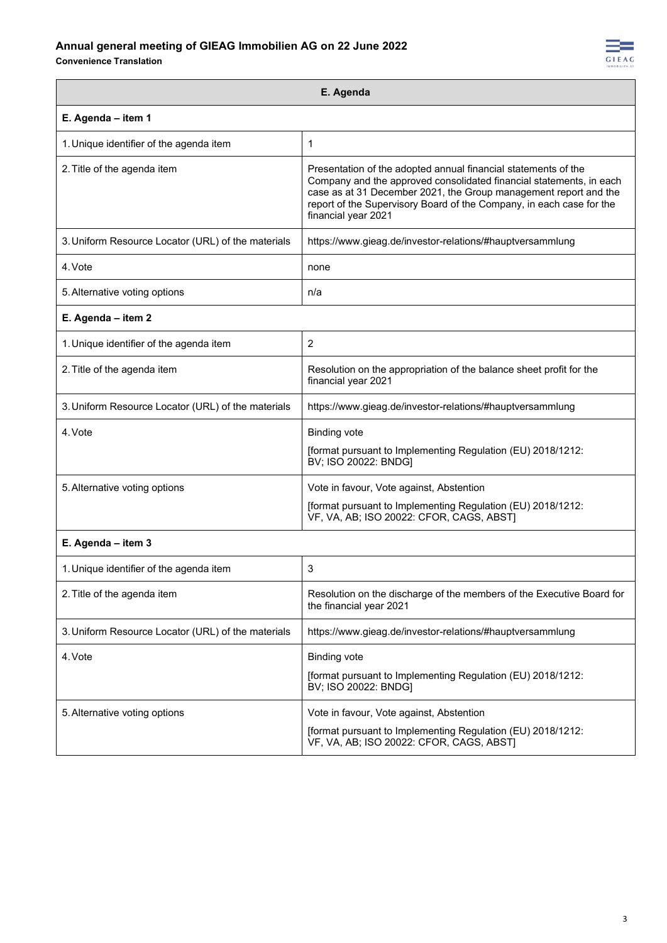#### **Annual general meeting of GIEAG Immobilien AG on 22 June 2022**

**Convenience Translation**



| E. Agenda                                          |                                                                                                                                                                                                                                                                                                          |  |
|----------------------------------------------------|----------------------------------------------------------------------------------------------------------------------------------------------------------------------------------------------------------------------------------------------------------------------------------------------------------|--|
| E. Agenda - item 1                                 |                                                                                                                                                                                                                                                                                                          |  |
| 1. Unique identifier of the agenda item            | 1                                                                                                                                                                                                                                                                                                        |  |
| 2. Title of the agenda item                        | Presentation of the adopted annual financial statements of the<br>Company and the approved consolidated financial statements, in each<br>case as at 31 December 2021, the Group management report and the<br>report of the Supervisory Board of the Company, in each case for the<br>financial year 2021 |  |
| 3. Uniform Resource Locator (URL) of the materials | https://www.gieag.de/investor-relations/#hauptversammlung                                                                                                                                                                                                                                                |  |
| 4. Vote                                            | none                                                                                                                                                                                                                                                                                                     |  |
| 5. Alternative voting options                      | n/a                                                                                                                                                                                                                                                                                                      |  |
| E. Agenda - item 2                                 |                                                                                                                                                                                                                                                                                                          |  |
| 1. Unique identifier of the agenda item            | $\overline{2}$                                                                                                                                                                                                                                                                                           |  |
| 2. Title of the agenda item                        | Resolution on the appropriation of the balance sheet profit for the<br>financial year 2021                                                                                                                                                                                                               |  |
| 3. Uniform Resource Locator (URL) of the materials | https://www.gieag.de/investor-relations/#hauptversammlung                                                                                                                                                                                                                                                |  |
| 4. Vote                                            | <b>Binding vote</b><br>[format pursuant to Implementing Regulation (EU) 2018/1212:<br>BV; ISO 20022: BNDG]                                                                                                                                                                                               |  |
| 5. Alternative voting options                      | Vote in favour, Vote against, Abstention                                                                                                                                                                                                                                                                 |  |
|                                                    | [format pursuant to Implementing Regulation (EU) 2018/1212:<br>VF, VA, AB; ISO 20022: CFOR, CAGS, ABST]                                                                                                                                                                                                  |  |
| E. Agenda - item 3                                 |                                                                                                                                                                                                                                                                                                          |  |
| 1. Unique identifier of the agenda item            | 3                                                                                                                                                                                                                                                                                                        |  |
| 2. Title of the agenda item                        | Resolution on the discharge of the members of the Executive Board for<br>the financial year 2021                                                                                                                                                                                                         |  |
| 3. Uniform Resource Locator (URL) of the materials | https://www.gieag.de/investor-relations/#hauptversammlung                                                                                                                                                                                                                                                |  |
| 4. Vote                                            | <b>Binding vote</b>                                                                                                                                                                                                                                                                                      |  |
|                                                    | [format pursuant to Implementing Regulation (EU) 2018/1212:<br>BV; ISO 20022: BNDG]                                                                                                                                                                                                                      |  |

[format pursuant to Implementing Regulation (EU) 2018/1212:

VF, VA, AB; ISO 20022: CFOR, CAGS, ABST]

5. Alternative voting options **Vote in favour, Vote against, Abstention**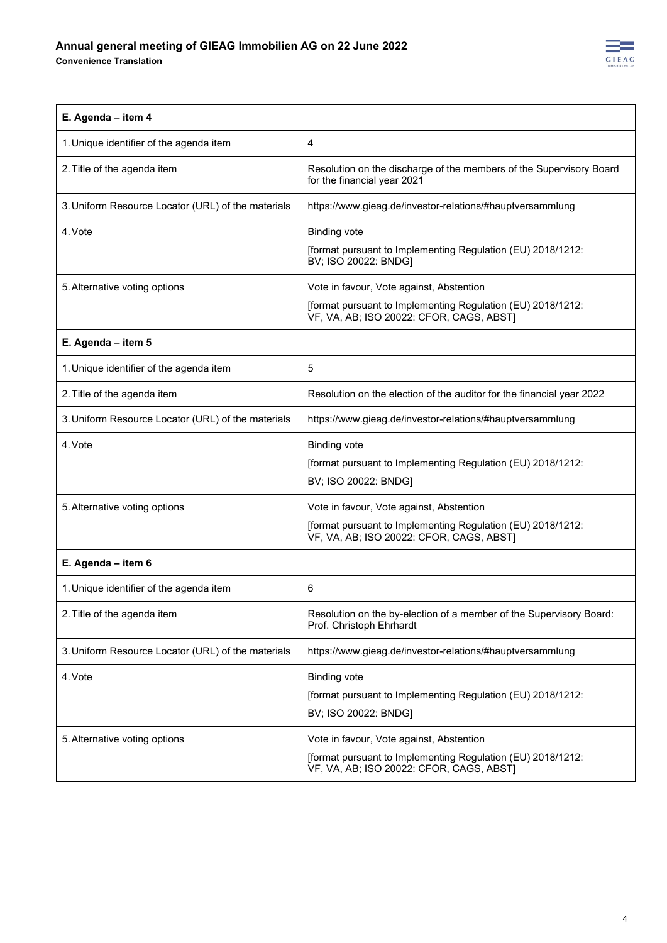

| E. Agenda - item 4                                 |                                                                                                         |
|----------------------------------------------------|---------------------------------------------------------------------------------------------------------|
| 1. Unique identifier of the agenda item            | 4                                                                                                       |
| 2. Title of the agenda item                        | Resolution on the discharge of the members of the Supervisory Board<br>for the financial year 2021      |
| 3. Uniform Resource Locator (URL) of the materials | https://www.gieag.de/investor-relations/#hauptversammlung                                               |
| 4. Vote                                            | <b>Binding vote</b>                                                                                     |
|                                                    | [format pursuant to Implementing Regulation (EU) 2018/1212:<br>BV; ISO 20022: BNDG]                     |
| 5. Alternative voting options                      | Vote in favour, Vote against, Abstention                                                                |
|                                                    | [format pursuant to Implementing Regulation (EU) 2018/1212:<br>VF, VA, AB; ISO 20022: CFOR, CAGS, ABST] |
| E. Agenda - item 5                                 |                                                                                                         |
| 1. Unique identifier of the agenda item            | 5                                                                                                       |
| 2. Title of the agenda item                        | Resolution on the election of the auditor for the financial year 2022                                   |
| 3. Uniform Resource Locator (URL) of the materials | https://www.gieag.de/investor-relations/#hauptversammlung                                               |
| 4. Vote                                            | <b>Binding vote</b>                                                                                     |
|                                                    | [format pursuant to Implementing Regulation (EU) 2018/1212:                                             |
|                                                    | BV; ISO 20022: BNDG]                                                                                    |
| 5. Alternative voting options                      | Vote in favour, Vote against, Abstention                                                                |
|                                                    | [format pursuant to Implementing Regulation (EU) 2018/1212:<br>VF, VA, AB; ISO 20022: CFOR, CAGS, ABST] |
| E. Agenda - item 6                                 |                                                                                                         |
| 1. Unique identifier of the agenda item            | 6                                                                                                       |
| 2. Title of the agenda item                        | Resolution on the by-election of a member of the Supervisory Board:<br>Prof. Christoph Ehrhardt         |
| 3. Uniform Resource Locator (URL) of the materials | https://www.gieag.de/investor-relations/#hauptversammlung                                               |
| 4. Vote                                            | <b>Binding vote</b>                                                                                     |
|                                                    | [format pursuant to Implementing Regulation (EU) 2018/1212:                                             |
|                                                    | BV; ISO 20022: BNDG]                                                                                    |

[format pursuant to Implementing Regulation (EU) 2018/1212:

VF, VA, AB; ISO 20022: CFOR, CAGS, ABST]

5. Alternative voting options **Vote in favour, Vote against, Abstention**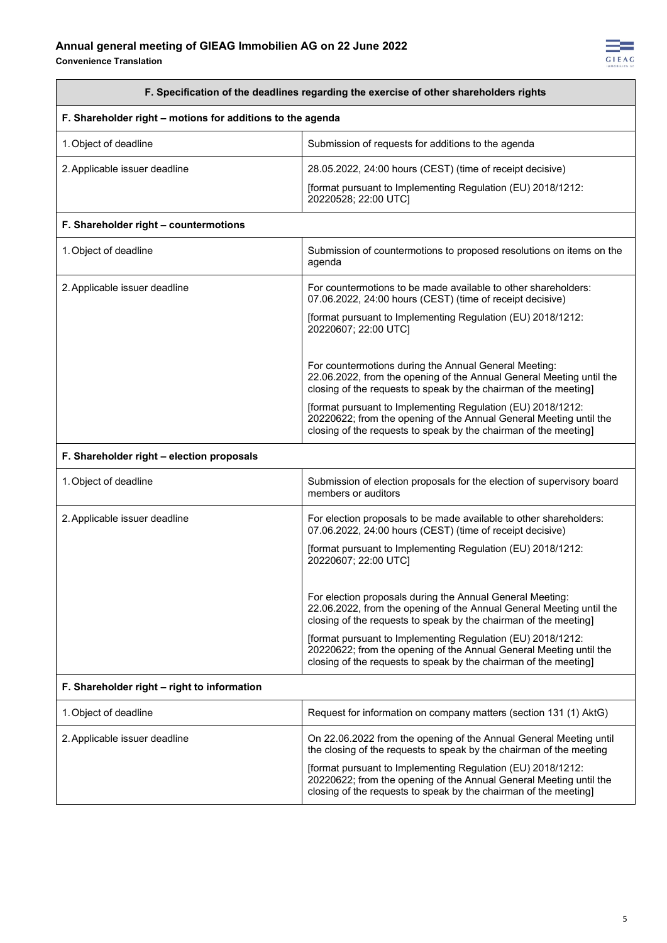### **Annual general meeting of GIEAG Immobilien AG on 22 June 2022**

**Convenience Translation**



# **F. Specification of the deadlines regarding the exercise of other shareholders rights F. Shareholder right – motions for additions to the agenda** 1. Object of deadline Submission of requests for additions to the agenda 2.Applicable issuer deadline 28.05.2022, 24:00 hours (CEST) (time of receipt decisive) [format pursuant to Implementing Regulation (EU) 2018/1212: 20220528; 22:00 UTC] **F. Shareholder right – countermotions** 1. Object of deadline Submission of countermotions to proposed resolutions on items on the agenda 2. Applicable issuer deadline Form  $\vert$  For countermotions to be made available to other shareholders: 07.06.2022, 24:00 hours (CEST) (time of receipt decisive) [format pursuant to Implementing Regulation (EU) 2018/1212: 20220607; 22:00 UTC] For countermotions during the Annual General Meeting: 22.06.2022, from the opening of the Annual General Meeting until the closing of the requests to speak by the chairman of the meeting] [format pursuant to Implementing Regulation (EU) 2018/1212: 20220622; from the opening of the Annual General Meeting until the closing of the requests to speak by the chairman of the meeting] **F. Shareholder right – election proposals** 1. Object of deadline Submission of election proposals for the election of supervisory board members or auditors 2. Applicable issuer deadline For election proposals to be made available to other shareholders: 07.06.2022, 24:00 hours (CEST) (time of receipt decisive) [format pursuant to Implementing Regulation (EU) 2018/1212: 20220607; 22:00 UTC] For election proposals during the Annual General Meeting: 22.06.2022, from the opening of the Annual General Meeting until the closing of the requests to speak by the chairman of the meeting] [format pursuant to Implementing Regulation (EU) 2018/1212: 20220622; from the opening of the Annual General Meeting until the closing of the requests to speak by the chairman of the meeting] **F. Shareholder right – right to information** 1. Object of deadline **Request for information on company matters (section 131 (1) AktG)** 2. Applicable issuer deadline **On 22.06.2022** from the opening of the Annual General Meeting until the closing of the requests to speak by the chairman of the meeting [format pursuant to Implementing Regulation (EU) 2018/1212: 20220622; from the opening of the Annual General Meeting until the closing of the requests to speak by the chairman of the meeting]